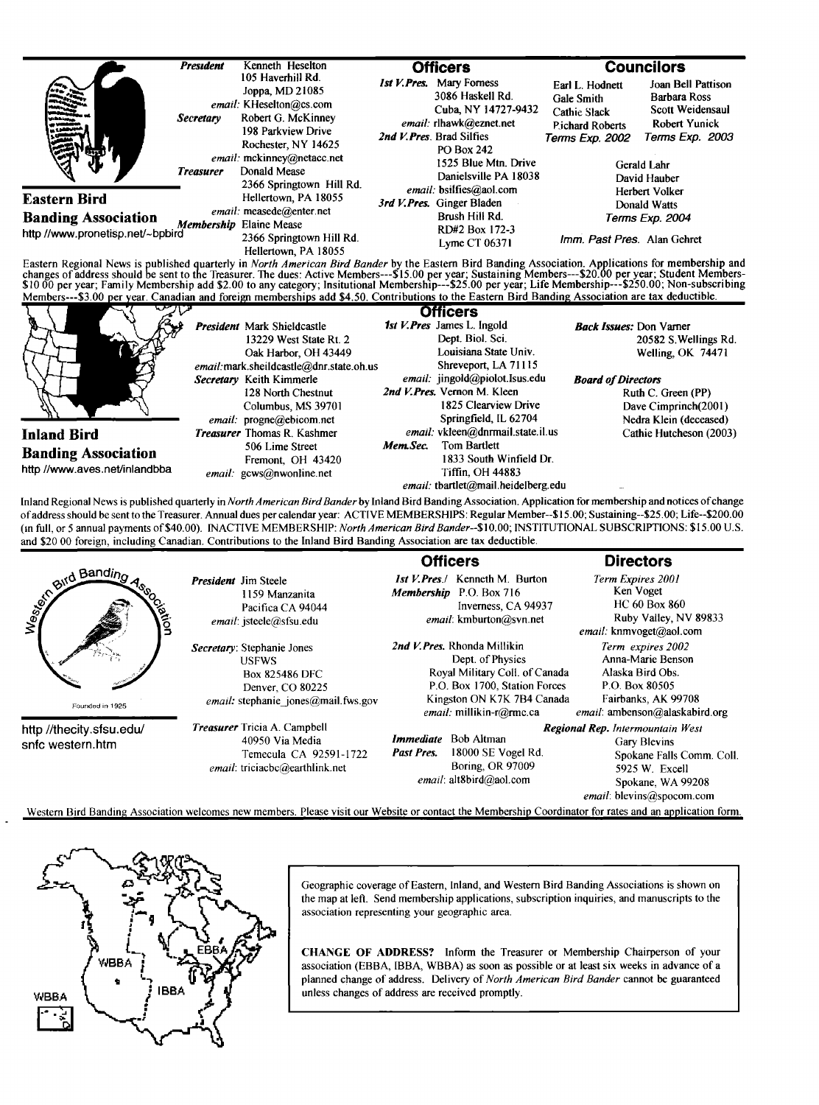|                                                                                                                                                                                                                                                                                                                                                                                                                                                                            | <b>President</b>                     | Kenneth Heselton                                                                                                                                                                 | <b>Officers</b> |                                                                                                                                                                                                           | <b>Councilors</b>                                                                          |                                                                                                                                         |
|----------------------------------------------------------------------------------------------------------------------------------------------------------------------------------------------------------------------------------------------------------------------------------------------------------------------------------------------------------------------------------------------------------------------------------------------------------------------------|--------------------------------------|----------------------------------------------------------------------------------------------------------------------------------------------------------------------------------|-----------------|-----------------------------------------------------------------------------------------------------------------------------------------------------------------------------------------------------------|--------------------------------------------------------------------------------------------|-----------------------------------------------------------------------------------------------------------------------------------------|
|                                                                                                                                                                                                                                                                                                                                                                                                                                                                            | <b>Secretary</b><br><b>Treasurer</b> | 105 Haverhill Rd.<br>Joppa, MD 21085<br>email: KHeselton@cs.com<br>Robert G. McKinney<br>198 Parkview Drive<br>Rochester, NY 14625<br>email: mckinney@netacc.net<br>Donald Mease |                 | <b>Ist V. Pres.</b> Mary Forness<br>3086 Haskell Rd.<br>Cuba, NY 14727-9432<br>email: rlhawk@eznet.net<br>2nd V. Pres. Brad Silfies<br><b>PO Box 242</b><br>1525 Blue Mtn. Drive<br>Danielsville PA 18038 | Earl L. Hodnett<br>Gale Smith<br>Cathie Slack<br><b>Pichard Roberts</b><br>Terms Exp. 2002 | Joan Bell Pattison<br><b>Barbara Ross</b><br>Scott Weidensaul<br><b>Robert Yunick</b><br>Terms Exp. 2003<br>Gerald Lahr<br>David Hauber |
| <b>Eastern Bird</b>                                                                                                                                                                                                                                                                                                                                                                                                                                                        |                                      | 2366 Springtown Hill Rd.<br>Hellertown, PA 18055                                                                                                                                 |                 | email: bsilfies@aol.com<br>3rd V.Pres. Ginger Bladen<br>Brush Hill Rd.<br>RD#2 Box 172-3<br>Lyme $CT 06371$                                                                                               | Herbert Volker                                                                             |                                                                                                                                         |
| <b>Banding Association</b><br>http //www.pronetisp.net/~bpbird                                                                                                                                                                                                                                                                                                                                                                                                             |                                      | email: measede@enter.net<br>Membership Elaine Mease<br>2366 Springtown Hill Rd.<br>Hellertown, PA 18055                                                                          |                 |                                                                                                                                                                                                           | Imm. Past Pres. Alan Gehret                                                                | <b>Donald Watts</b><br>Terms Exp. 2004                                                                                                  |
| Eastern Regional News is published quarterly in North American Bird Bander by the Eastern Bird Banding Association. Applications for membership and<br>changes of address should be sent to the Treasurer. The dues: Active Members---\$15.00 per year; Sustaining Members---\$20.00 per year; Student Members-<br>\$10 00 per year; Family Membership add \$2.00 to any category; Insitutional Membership---\$25.00 per year; Life Membership---\$250.00; Non-subscribing |                                      |                                                                                                                                                                                  |                 |                                                                                                                                                                                                           |                                                                                            |                                                                                                                                         |
| Members---\$3.00 per year. Canadian and foreign memberships add \$4.50. Contributions to the Eastern Bird Banding Association are tax deductible.                                                                                                                                                                                                                                                                                                                          |                                      |                                                                                                                                                                                  |                 |                                                                                                                                                                                                           |                                                                                            |                                                                                                                                         |
|                                                                                                                                                                                                                                                                                                                                                                                                                                                                            |                                      | President Mark Shieldcastle<br>13229 West State Rt. 2<br>Oak Harbor, OH 43449                                                                                                    |                 | <b>Officers</b><br>1st V. Pres James L. Ingold<br>Dept. Biol. Sci.<br>Louisiana State Univ.                                                                                                               | <b>Back Issues: Don Varner</b>                                                             | 20582 S. Wellings Rd.<br>Welling, OK 74471                                                                                              |
|                                                                                                                                                                                                                                                                                                                                                                                                                                                                            |                                      | email:mark.sheildcastle@dnr.state.oh.us<br>Secretary Keith Kimmerle<br>128 North Chestnut<br>Columbus, MS 39701                                                                  |                 | Shreveport, LA 71115<br>email: jingold@piolot.Isus.edu<br>2nd V.Pres. Vernon M. Kleen<br>1825 Clearview Drive                                                                                             | <b>Board of Directors</b>                                                                  | Ruth C. Green (PP)<br>Dave Cimprinch(2001)                                                                                              |
| <b>Inland Bird</b>                                                                                                                                                                                                                                                                                                                                                                                                                                                         |                                      | email: progne@ebicom.net<br><b>Treasurer</b> Thomas R. Kashmer                                                                                                                   |                 | Springfield, IL 62704<br>email: vkleen@dnrmail.state.il.us                                                                                                                                                |                                                                                            | Nedra Klein (deceased)<br>Cathie Hutcheson (2003)                                                                                       |

Inland Regional News is published quarterly in *North American Bird Bander* by Inland Bird Banding Association. Application for membership and notices of change **of address should be sento the Treasurer. Annual dues per calendar year: ACTIVE MEMBERSHIPS: Regular Membcr--\$15.00; Sustaining--S25.00; Life--S200.00 0n full, or 5 annual payments of \$40.00). INACTIVE MEMBERSHIP: North American BirdBander--\$10.00; INSTITUTIONAL SUBSCRIPTIONS: \$15.00 U.S. and \$20 00 foreign, including Canadian. Contributions to the Inland Bird Banding Association arc tax deductible.** 

|                                              |                                                                                                                                                          | <b>Officers</b>                                                                                                                                                               | <b>Directors</b>                                                                                                                                         |  |
|----------------------------------------------|----------------------------------------------------------------------------------------------------------------------------------------------------------|-------------------------------------------------------------------------------------------------------------------------------------------------------------------------------|----------------------------------------------------------------------------------------------------------------------------------------------------------|--|
| and Bandino<br>ciation<br>Founded in 1925    | <b>President</b> Jim Steele<br>1159 Manzanita<br>Pacifica CA 94044<br>email: jsteele@sfsu.edu                                                            | Kenneth M. Burton<br>1st V.Pres /<br><b>Membership</b> P.O. Box 716<br>Inverness, CA 94937<br>email: kmburton@svn.net                                                         | Term Expires 2001<br>Ken Voget<br>HC 60 Box 860<br>Ruby Valley, NV 89833<br>email: knmvoget@aol.com                                                      |  |
|                                              | Secretary: Stephanie Jones<br><b>USFWS</b><br><b>Box 825486 DFC</b><br>Denver, CO 80225<br><i>email:</i> stephanie jones@mail.fws.gov                    | 2nd V. Pres. Rhonda Millikin<br>Dept. of Physics<br>Royal Military Coll. of Canada<br>P.O. Box 1700, Station Forces<br>Kingston ON K7K 7B4 Canada<br>email: millikin-r@rmc.ca | Term expires 2002<br>Anna-Marie Benson<br>Alaska Bird Obs.<br>P.O. Box 80505<br>Fairbanks, AK 99708<br>email: ambenson@alaskabird.org                    |  |
| http //thecity.sfsu.edu/<br>snfc western.htm | <b>Treasurer</b> Tricia A. Campbell<br>40950 Via Media<br>Temecula CA 92591-1722<br>email: triciacbc@earthlink.net                                       | <b>Bob Altman</b><br><i>Immediate</i><br>18000 SE Vogel Rd.<br>Past Pres.<br>Boring, OR 97009<br>email: $alt8bird@aol.com$                                                    | <b>Regional Rep.</b> Intermountain West<br>Gary Blevins<br>Spokane Falls Comm. Coll.<br>5925 W. Excell<br>Spokane, WA 99208<br>email: blevins@spocom.com |  |
|                                              | Western Bird Banding Association welcomes new members. Please visit our Website or contact the Membership Coordinator for rates and an application form. |                                                                                                                                                                               |                                                                                                                                                          |  |



**Geographic coverage of Eastern, Inland, and Western Bird Banding Associations is shown on the map at left. Send membership applications, subscription inquiries, and manuscripts to the association representing your geographic area.** 

**CHANGE OF ADDRESS? Inform the Treasurer or Membership Chairperson of your association (EBBA, IBBA, WBBA) as soon as possible or at least six weeks in advance of a planned change of address. Delivery of North American Bird Bander cannot be guaranteed unless changes of address are received promptly.**